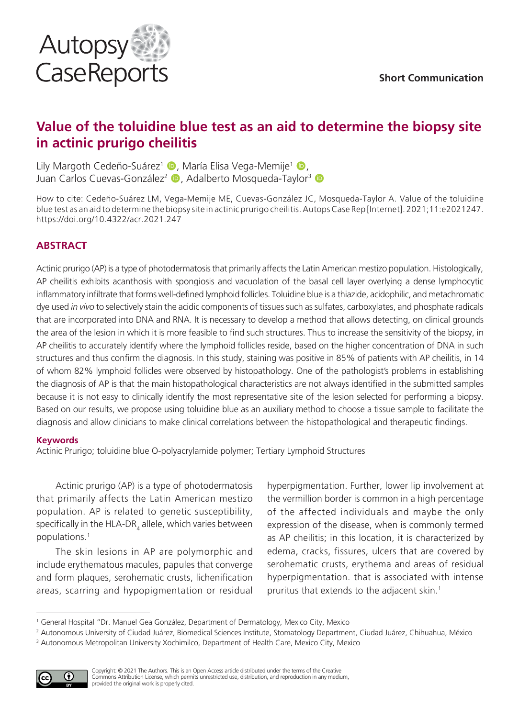

# **Value of the toluidine blue test as an aid to determine the biopsy site in actinic prurigo cheilitis**

Lily Margoth Cedeño-Suárez<sup>1</sup> (D. María Elisa Vega-Memije<sup>1</sup> (D. Juan Carlos Cuevas-González<sup>2</sup> D, Adalberto Mosqueda-Taylor<sup>3</sup> D

How to cite: Cedeño-Suárez LM, Vega-Memije ME, Cuevas-González JC, Mosqueda-Taylor A. Value of the toluidine blue test as an aid to determine the biopsy site in actinic prurigo cheilitis. Autops Case Rep [Internet]. 2021;11:e2021247. https://doi.org/10.4322/acr.2021.247

## **ABSTRACT**

Actinic prurigo (AP) is a type of photodermatosis that primarily affects the Latin American mestizo population. Histologically, AP cheilitis exhibits acanthosis with spongiosis and vacuolation of the basal cell layer overlying a dense lymphocytic inflammatory infiltrate that forms well-defined lymphoid follicles. Toluidine blue is a thiazide, acidophilic, and metachromatic dye used *in vivo* to selectively stain the acidic components of tissues such as sulfates, carboxylates, and phosphate radicals that are incorporated into DNA and RNA. It is necessary to develop a method that allows detecting, on clinical grounds the area of the lesion in which it is more feasible to find such structures. Thus to increase the sensitivity of the biopsy, in AP cheilitis to accurately identify where the lymphoid follicles reside, based on the higher concentration of DNA in such structures and thus confirm the diagnosis. In this study, staining was positive in 85% of patients with AP cheilitis, in 14 of whom 82% lymphoid follicles were observed by histopathology. One of the pathologist's problems in establishing the diagnosis of AP is that the main histopathological characteristics are not always identified in the submitted samples because it is not easy to clinically identify the most representative site of the lesion selected for performing a biopsy. Based on our results, we propose using toluidine blue as an auxiliary method to choose a tissue sample to facilitate the diagnosis and allow clinicians to make clinical correlations between the histopathological and therapeutic findings.

#### **Keywords**

Actinic Prurigo; toluidine blue O-polyacrylamide polymer; Tertiary Lymphoid Structures

Actinic prurigo (AP) is a type of photodermatosis that primarily affects the Latin American mestizo population. AP is related to genetic susceptibility, specifically in the HLA-DR $_{\rm_4}$  allele, which varies between populations.1

The skin lesions in AP are polymorphic and include erythematous macules, papules that converge and form plaques, serohematic crusts, lichenification areas, scarring and hypopigmentation or residual

hyperpigmentation. Further, lower lip involvement at the vermillion border is common in a high percentage of the affected individuals and maybe the only expression of the disease, when is commonly termed as AP cheilitis; in this location, it is characterized by edema, cracks, fissures, ulcers that are covered by serohematic crusts, erythema and areas of residual hyperpigmentation. that is associated with intense pruritus that extends to the adjacent skin.<sup>1</sup>

<sup>2</sup> Autonomous University of Ciudad Juárez, Biomedical Sciences Institute, Stomatology Department, Ciudad Juárez, Chihuahua, México <sup>3</sup> Autonomous Metropolitan University Xochimilco, Department of Health Care, Mexico City, Mexico



<sup>1</sup> General Hospital "Dr. Manuel Gea González, Department of Dermatology, Mexico City, Mexico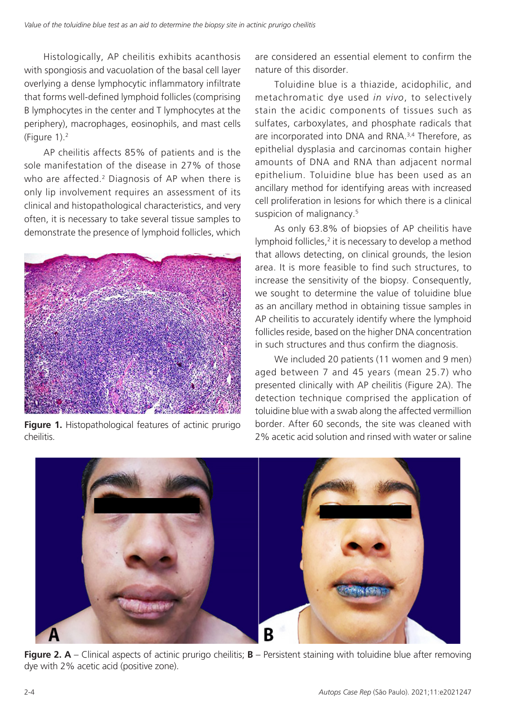Histologically, AP cheilitis exhibits acanthosis with spongiosis and vacuolation of the basal cell layer overlying a dense lymphocytic inflammatory infiltrate that forms well-defined lymphoid follicles (comprising B lymphocytes in the center and T lymphocytes at the periphery), macrophages, eosinophils, and mast cells (Figure 1).2

AP cheilitis affects 85% of patients and is the sole manifestation of the disease in 27% of those who are affected.<sup>2</sup> Diagnosis of AP when there is only lip involvement requires an assessment of its clinical and histopathological characteristics, and very often, it is necessary to take several tissue samples to demonstrate the presence of lymphoid follicles, which



**Figure 1.** Histopathological features of actinic prurigo cheilitis.

are considered an essential element to confirm the nature of this disorder.

Toluidine blue is a thiazide, acidophilic, and metachromatic dye used *in vivo*, to selectively stain the acidic components of tissues such as sulfates, carboxylates, and phosphate radicals that are incorporated into DNA and RNA.<sup>3,4</sup> Therefore, as epithelial dysplasia and carcinomas contain higher amounts of DNA and RNA than adjacent normal epithelium. Toluidine blue has been used as an ancillary method for identifying areas with increased cell proliferation in lesions for which there is a clinical suspicion of malignancy.<sup>5</sup>

As only 63.8% of biopsies of AP cheilitis have lymphoid follicles,<sup>2</sup> it is necessary to develop a method that allows detecting, on clinical grounds, the lesion area. It is more feasible to find such structures, to increase the sensitivity of the biopsy. Consequently, we sought to determine the value of toluidine blue as an ancillary method in obtaining tissue samples in AP cheilitis to accurately identify where the lymphoid follicles reside, based on the higher DNA concentration in such structures and thus confirm the diagnosis.

We included 20 patients (11 women and 9 men) aged between 7 and 45 years (mean 25.7) who presented clinically with AP cheilitis (Figure 2A). The detection technique comprised the application of toluidine blue with a swab along the affected vermillion border. After 60 seconds, the site was cleaned with 2% acetic acid solution and rinsed with water or saline



**Figure 2. A** – Clinical aspects of actinic prurigo cheilitis; **B** – Persistent staining with toluidine blue after removing dye with 2% acetic acid (positive zone).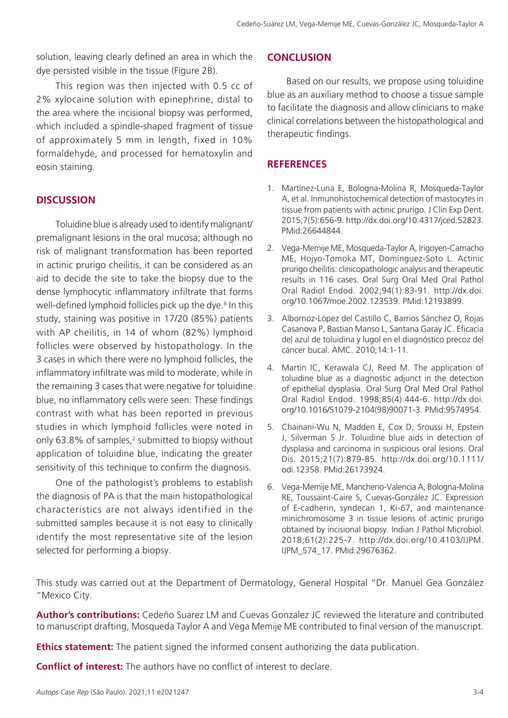solution, leaving clearly defined an area in which the dye persisted visible in the tissue (Figure 2B).

This region was then injected with 0.5 cc of 2% xylocaine solution with epinephrine, distal to the area where the incisional biopsy was performed, which included a spindle-shaped fragment of tissue of approximately 5 mm in length, fixed in 10% formaldehyde, and processed for hematoxylin and eosin staining.

## **DISCUSSION**

Toluidine blue is already used to identify malignant/ premalignant lesions in the oral mucosa; although no risk of malignant transformation has been reported in actinic prurigo cheilitis, it can be considered as an aid to decide the site to take the biopsy due to the dense lymphocytic inflammatory infiltrate that forms well-defined lymphoid follicles pick up the dye.<sup>6</sup> In this study, staining was positive in 17/20 (85%) patients with AP cheilitis, in 14 of whom (82%) lymphoid follicles were observed by histopathology. In the 3 cases in which there were no lymphoid follicles, the inflammatory infiltrate was mild to moderate, while in the remaining 3 cases that were negative for toluidine blue, no inflammatory cells were seen. These findings contrast with what has been reported in previous studies in which lymphoid follicles were noted in only 63.8% of samples,<sup>2</sup> submitted to biopsy without application of toluidine blue, indicating the greater sensitivity of this technique to confirm the diagnosis.

One of the pathologist's problems to establish the diagnosis of PA is that the main histopathological characteristics are not always identified in the submitted samples because it is not easy to clinically identify the most representative site of the lesion selected for performing a biopsy.

#### **CONCLUSION**

Based on our results, we propose using toluidine blue as an auxiliary method to choose a tissue sample to facilitate the diagnosis and allow clinicians to make clinical correlations between the histopathological and therapeutic findings.

### **REFERENCES**

- 1. Martínez-Luna E, Bologna-Molina R, Mosqueda-Taylor A, et al. Inmunohistochemical detection of mastocytes in tissue from patients with actinic prurigo. J Clin Exp Dent. 2015;7(5):656-9. [http://dx.doi.org/10.4317/jced.52823](https://doi.org/10.4317/jced.52823). [PMid:26644844.](https://www.ncbi.nlm.nih.gov/entrez/query.fcgi?cmd=Retrieve&db=PubMed&list_uids=26644844&dopt=Abstract)
- 2. Vega-Memije ME, Mosqueda-Taylor A, Irigoyen-Camacho ME, Hojyo-Tomoka MT, Domínguez-Soto L. Actinic prurigo cheilitis: clinicopathologic analysis and therapeutic results in 116 cases. Oral Surg Oral Med Oral Pathol Oral Radiol Endod. 2002;94(1):83-91. [http://dx.doi.](https://doi.org/10.1067/moe.2002.123539) [org/10.1067/moe.2002.123539](https://doi.org/10.1067/moe.2002.123539)[. PMid:12193899.](https://www.ncbi.nlm.nih.gov/entrez/query.fcgi?cmd=Retrieve&db=PubMed&list_uids=12193899&dopt=Abstract)
- 3. Albornoz-López del Castillo C, Barrios Sánchez O, Rojas Casanova P, Bastian Manso L, Santana Garay JC. Eficacia del azul de toluidina y lugol en el diagnóstico precoz del cáncer bucal. AMC. 2010;14:1-11.
- 4. Martin IC, Kerawala CJ, Reed M. The application of toluidine blue as a diagnostic adjunct in the detection of epithelial dysplasia. Oral Surg Oral Med Oral Pathol Oral Radiol Endod. 1998;85(4):444-6. [http://dx.doi.](https://doi.org/10.1016/S1079-2104(98)90071-3) [org/10.1016/S1079-2104\(98\)90071-3.](https://doi.org/10.1016/S1079-2104(98)90071-3) [PMid:9574954.](https://www.ncbi.nlm.nih.gov/entrez/query.fcgi?cmd=Retrieve&db=PubMed&list_uids=9574954&dopt=Abstract)
- 5. Chainani-Wu N, Madden E, Cox D, Sroussi H, Epstein J, Silverman S Jr. Toluidine blue aids in detection of dysplasia and carcinoma in suspicious oral lesions. Oral Dis. 2015;21(7):879-85. [http://dx.doi.org/10.1111/](https://doi.org/10.1111/odi.12358) [odi.12358](https://doi.org/10.1111/odi.12358). [PMid:26173924.](https://www.ncbi.nlm.nih.gov/entrez/query.fcgi?cmd=Retrieve&db=PubMed&list_uids=26173924&dopt=Abstract)
- 6. Vega-Memije ME, Mancheno-Valencia A, Bologna-Molina RE, Toussaint-Caire S, Cuevas-González JC. Expression of E-cadherin, syndecan 1, Ki-67, and maintenance minichromosome 3 in tissue lesions of actinic prurigo obtained by incisional biopsy. Indian J Pathol Microbiol. 2018;61(2):225-7. [http://dx.doi.org/10.4103/IJPM.](https://doi.org/10.4103/IJPM.IJPM_574_17) [IJPM\\_574\\_17](https://doi.org/10.4103/IJPM.IJPM_574_17)[. PMid:29676362.](https://www.ncbi.nlm.nih.gov/entrez/query.fcgi?cmd=Retrieve&db=PubMed&list_uids=29676362&dopt=Abstract)

This study was carried out at the Department of Dermatology, General Hospital "Dr. Manuel Gea González "Mexico City.

**Author's contributions:** Cedeño Suarez LM and Cuevas Gonzalez JC reviewed the literature and contributed to manuscript drafting, Mosqueda Taylor A and Vega Memije ME contributed to final version of the manuscript.

**Ethics statement:** The patient signed the informed consent authorizing the data publication.

**Conflict of interest:** The authors have no conflict of interest to declare.